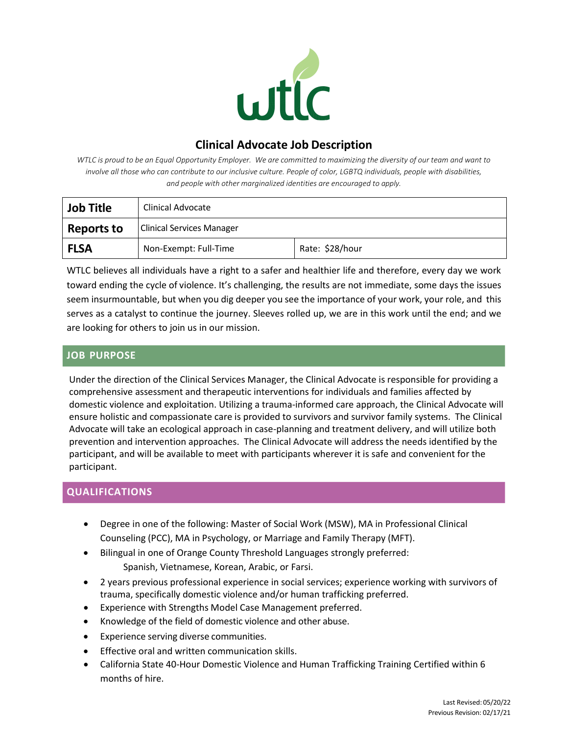

# **Clinical Advocate Job Description**

WTLC is proud to be an Equal Opportunity Employer. We are committed to maximizing the diversity of our team and want to *involve all those who can contribute to our inclusive culture. People of color, LGBTQ individuals, people with disabilities, and people with other marginalized identities are encouraged to apply.*

| Job Title         | Clinical Advocate                |                 |
|-------------------|----------------------------------|-----------------|
| <b>Reports to</b> | <b>Clinical Services Manager</b> |                 |
| <b>FLSA</b>       | Non-Exempt: Full-Time            | Rate: \$28/hour |

WTLC believes all individuals have a right to a safer and healthier life and therefore, every day we work toward ending the cycle of violence. It's challenging, the results are not immediate, some days the issues seem insurmountable, but when you dig deeper you see the importance of your work, your role, and this serves as a catalyst to continue the journey. Sleeves rolled up, we are in this work until the end; and we are looking for others to join us in our mission.

## **JOB PURPOSE**

Under the direction of the Clinical Services Manager, the Clinical Advocate is responsible for providing a comprehensive assessment and therapeutic interventions for individuals and families affected by domestic violence and exploitation. Utilizing a trauma-informed care approach, the Clinical Advocate will ensure holistic and compassionate care is provided to survivors and survivor family systems. The Clinical Advocate will take an ecological approach in case-planning and treatment delivery, and will utilize both prevention and intervention approaches. The Clinical Advocate will address the needs identified by the participant, and will be available to meet with participants wherever it is safe and convenient for the participant.

## **QUALIFICATIONS**

- Degree in one of the following: Master of Social Work (MSW), MA in Professional Clinical Counseling (PCC), MA in Psychology, or Marriage and Family Therapy (MFT).
- Bilingual in one of Orange County Threshold Languages strongly preferred: Spanish, Vietnamese, Korean, Arabic, or Farsi.
- 2 years previous professional experience in social services; experience working with survivors of trauma, specifically domestic violence and/or human trafficking preferred.
- Experience with Strengths Model Case Management preferred.
- Knowledge of the field of domestic violence and other abuse.
- Experience serving diverse communities.
- Effective oral and written communication skills.
- California State 40-Hour Domestic Violence and Human Trafficking Training Certified within 6 months of hire.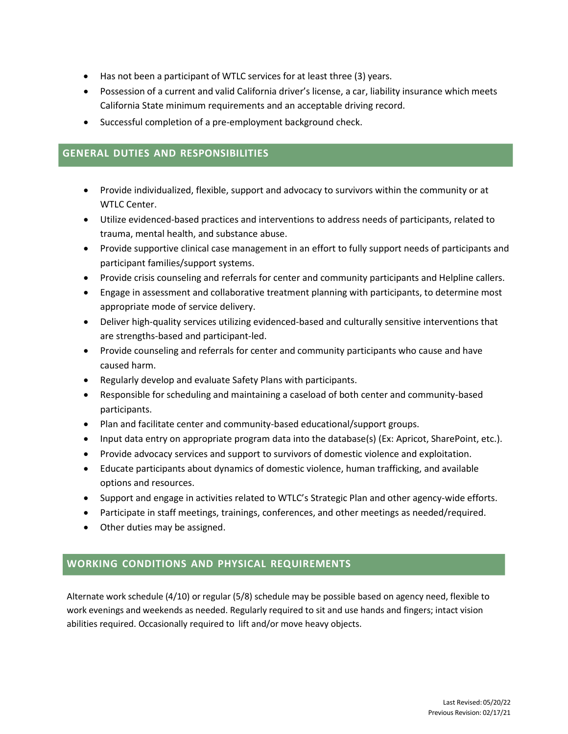- Has not been a participant of WTLC services for at least three (3) years.
- Possession of a current and valid California driver's license, a car, liability insurance which meets California State minimum requirements and an acceptable driving record.
- Successful completion of a pre-employment background check.

#### **GENERAL DUTIES AND RESPONSIBILITIES**

- Provide individualized, flexible, support and advocacy to survivors within the community or at WTLC Center.
- Utilize evidenced-based practices and interventions to address needs of participants, related to trauma, mental health, and substance abuse.
- Provide supportive clinical case management in an effort to fully support needs of participants and participant families/support systems.
- Provide crisis counseling and referrals for center and community participants and Helpline callers.
- Engage in assessment and collaborative treatment planning with participants, to determine most appropriate mode of service delivery.
- Deliver high-quality services utilizing evidenced-based and culturally sensitive interventions that are strengths-based and participant-led.
- Provide counseling and referrals for center and community participants who cause and have caused harm.
- Regularly develop and evaluate Safety Plans with participants.
- Responsible for scheduling and maintaining a caseload of both center and community-based participants.
- Plan and facilitate center and community-based educational/support groups.
- Input data entry on appropriate program data into the database(s) (Ex: Apricot, SharePoint, etc.).
- Provide advocacy services and support to survivors of domestic violence and exploitation.
- Educate participants about dynamics of domestic violence, human trafficking, and available options and resources.
- Support and engage in activities related to WTLC's Strategic Plan and other agency-wide efforts.
- Participate in staff meetings, trainings, conferences, and other meetings as needed/required.
- Other duties may be assigned.

#### **WORKING CONDITIONS AND PHYSICAL REQUIREMENTS**

Alternate work schedule (4/10) or regular (5/8) schedule may be possible based on agency need, flexible to work evenings and weekends as needed. Regularly required to sit and use hands and fingers; intact vision abilities required. Occasionally required to lift and/or move heavy objects.